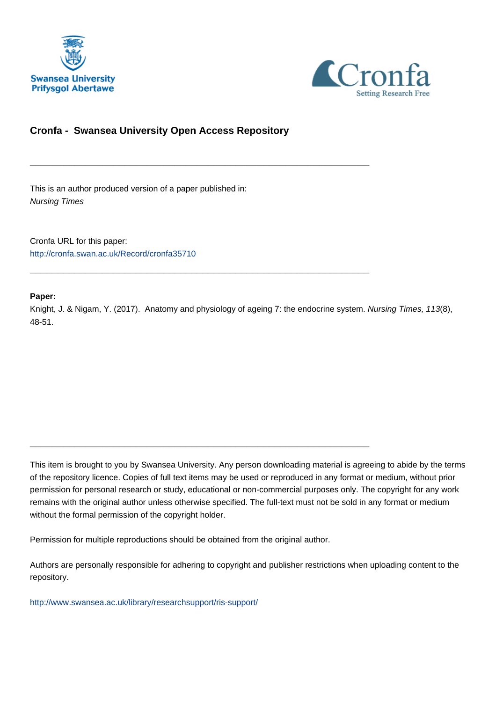



## **Cronfa - Swansea University Open Access Repository**

\_\_\_\_\_\_\_\_\_\_\_\_\_\_\_\_\_\_\_\_\_\_\_\_\_\_\_\_\_\_\_\_\_\_\_\_\_\_\_\_\_\_\_\_\_\_\_\_\_\_\_\_\_\_\_\_\_\_\_\_\_

\_\_\_\_\_\_\_\_\_\_\_\_\_\_\_\_\_\_\_\_\_\_\_\_\_\_\_\_\_\_\_\_\_\_\_\_\_\_\_\_\_\_\_\_\_\_\_\_\_\_\_\_\_\_\_\_\_\_\_\_\_

\_\_\_\_\_\_\_\_\_\_\_\_\_\_\_\_\_\_\_\_\_\_\_\_\_\_\_\_\_\_\_\_\_\_\_\_\_\_\_\_\_\_\_\_\_\_\_\_\_\_\_\_\_\_\_\_\_\_\_\_\_

This is an author produced version of a paper published in: Nursing Times

Cronfa URL for this paper: <http://cronfa.swan.ac.uk/Record/cronfa35710>

### **Paper:**

Knight, J. & Nigam, Y. (2017). Anatomy and physiology of ageing 7: the endocrine system. Nursing Times, 113(8), 48-51.

This item is brought to you by Swansea University. Any person downloading material is agreeing to abide by the terms of the repository licence. Copies of full text items may be used or reproduced in any format or medium, without prior permission for personal research or study, educational or non-commercial purposes only. The copyright for any work remains with the original author unless otherwise specified. The full-text must not be sold in any format or medium without the formal permission of the copyright holder.

Permission for multiple reproductions should be obtained from the original author.

Authors are personally responsible for adhering to copyright and publisher restrictions when uploading content to the repository.

[http://www.swansea.ac.uk/library/researchsupport/ris-support/](http://www.swansea.ac.uk/library/researchsupport/ris-support/ )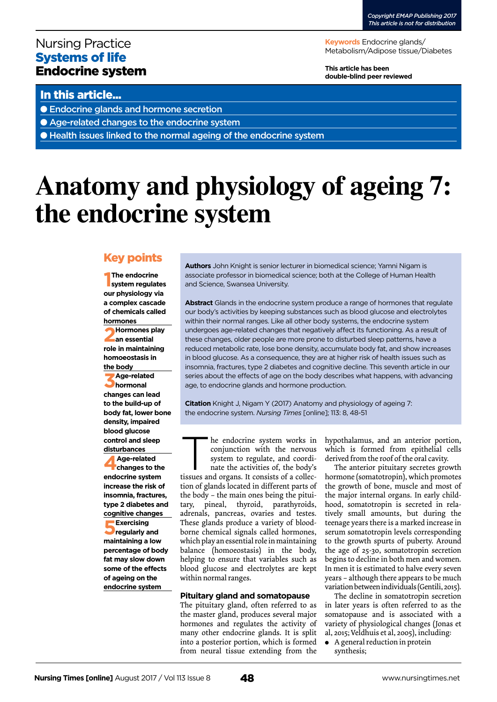## Nursing Practice Systems of life Endocrine system

**Keywords** Endocrine glands/ Metabolism/Adipose tissue/Diabetes

**This article has been double-blind peer reviewed**

## In this article...

● Endocrine glands and hormone secretion

● Age-related changes to the endocrine system

● Health issues linked to the normal ageing of the endocrine system

# **Anatomy and physiology of ageing 7: the endocrine system**

## Key points

**1 The endocrine system regulates our physiology via a complex cascade of chemicals called hormones**

**2Hormones play an essential role in maintaining homoeostasis in the body**

**3Age-related hormonal changes can lead to the build-up of body fat, lower bone density, impaired blood glucose control and sleep disturbances**

**4Age-related changes to the endocrine system increase the risk of insomnia, fractures, type 2 diabetes and cognitive changes 5Exercising regularly and maintaining a low percentage of body fat may slow down some of the effects of ageing on the endocrine system**

**Authors** John Knight is senior lecturer in biomedical science; Yamni Nigam is associate professor in biomedical science; both at the College of Human Health and Science, Swansea University.

**Abstract** Glands in the endocrine system produce a range of hormones that regulate our body's activities by keeping substances such as blood glucose and electrolytes within their normal ranges. Like all other body systems, the endocrine system undergoes age-related changes that negatively affect its functioning. As a result of these changes, older people are more prone to disturbed sleep patterns, have a reduced metabolic rate, lose bone density, accumulate body fat, and show increases in blood glucose. As a consequence, they are at higher risk of health issues such as insomnia, fractures, type 2 diabetes and cognitive decline. This seventh article in our series about the effects of age on the body describes what happens, with advancing age, to endocrine glands and hormone production.

**Citation** Knight J, Nigam Y (2017) Anatomy and physiology of ageing 7: the endocrine system. *Nursing Times* [online]; 113: 8, 48-51

he endocrine system works in conjunction with the nervous system to regulate, and coordinate the activities of, the body's

tissues and organs. It consists of a collection of glands located in different parts of the body – the main ones being the pituitary, pineal, thyroid, parathyroids, adrenals, pancreas, ovaries and testes. These glands produce a variety of bloodborne chemical signals called hormones, which play an essential role in maintaining balance (homoeostasis) in the body, helping to ensure that variables such as blood glucose and electrolytes are kept within normal ranges.

#### **Pituitary gland and somatopause**

The pituitary gland, often referred to as the master gland, produces several major hormones and regulates the activity of many other endocrine glands. It is split into a posterior portion, which is formed from neural tissue extending from the hypothalamus, and an anterior portion, which is formed from epithelial cells derived from the roof of the oral cavity.

The anterior pituitary secretes growth hormone (somatotropin), which promotes the growth of bone, muscle and most of the major internal organs. In early childhood, somatotropin is secreted in relatively small amounts, but during the teenage years there is a marked increase in serum somatotropin levels corresponding to the growth spurts of puberty. Around the age of 25-30, somatotropin secretion begins to decline in both men and women. In men it is estimated to halve every seven years – although there appears to be much variation between individuals (Gentili, 2015).

The decline in somatotropin secretion in later years is often referred to as the somatopause and is associated with a variety of physiological changes (Jonas et al, 2015; Veldhuis et al, 2005), including:

- A general reduction in protein
- synthesis;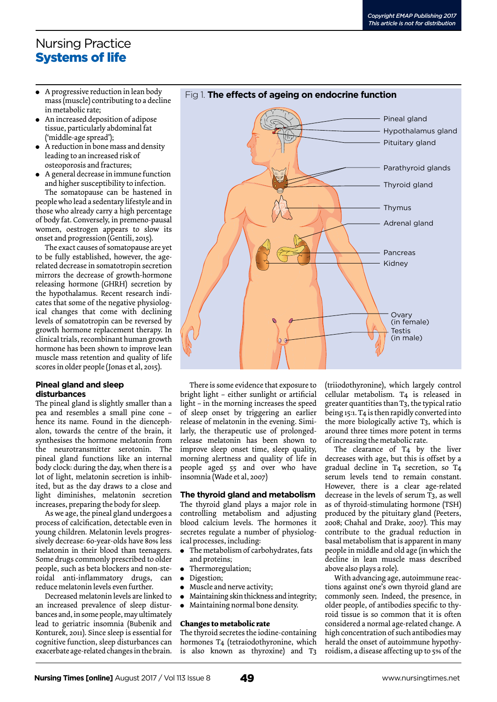# Nursing Practice Systems of life

- <sup>l</sup> A progressive reduction in lean body mass (muscle) contributing to a decline in metabolic rate;
- An increased deposition of adipose tissue, particularly abdominal fat ('middle-age spread');
- A reduction in bone mass and density leading to an increased risk of osteoporosis and fractures;
- $\bullet$  A general decrease in immune function and higher susceptibility to infection.

The somatopause can be hastened in people who lead a sedentary lifestyle and in those who already carry a high percentage of body fat. Conversely, in premeno-pausal women, oestrogen appears to slow its onset and progression (Gentili, 2015).

The exact causes of somatopause are yet to be fully established, however, the agerelated decrease in somatotropin secretion mirrors the decrease of growth-hormone releasing hormone (GHRH) secretion by the hypothalamus. Recent research indicates that some of the negative physiological changes that come with declining levels of somatotropin can be reversed by growth hormone replacement therapy. In clinical trials, recombinant human growth hormone has been shown to improve lean muscle mass retention and quality of life scores in older people (Jonas et al, 2015).

#### **Pineal gland and sleep disturbances**

The pineal gland is slightly smaller than a pea and resembles a small pine cone – hence its name. Found in the diencephalon, towards the centre of the brain, it synthesises the hormone melatonin from the neurotransmitter serotonin. The pineal gland functions like an internal body clock: during the day, when there is a lot of light, melatonin secretion is inhibited, but as the day draws to a close and light diminishes, melatonin secretion increases, preparing the body for sleep.

As we age, the pineal gland undergoes a process of calcification, detectable even in young children. Melatonin levels progressively decrease: 60-year-olds have 80% less melatonin in their blood than teenagers. Some drugs commonly prescribed to older people, such as beta blockers and non-steroidal anti-inflammatory drugs, can reduce melatonin levels even further.

Decreased melatonin levels are linked to an increased prevalence of sleep disturbances and, in some people, may ultimately lead to geriatric insomnia (Bubenik and Konturek, 2011). Since sleep is essential for cognitive function, sleep disturbances can exacerbate age-related changes in the brain.



There is some evidence that exposure to bright light – either sunlight or artificial light – in the morning increases the speed of sleep onset by triggering an earlier release of melatonin in the evening. Similarly, the therapeutic use of prolongedrelease melatonin has been shown to improve sleep onset time, sleep quality, morning alertness and quality of life in people aged 55 and over who have insomnia (Wade et al, 2007)

#### **The thyroid gland and metabolism**

The thyroid gland plays a major role in controlling metabolism and adjusting blood calcium levels. The hormones it secretes regulate a number of physiological processes, including:

- The metabolism of carbohydrates, fats and proteins;
- Thermoregulation;
- Digestion;
- Muscle and nerve activity;
- <sup>l</sup> Maintaining skin thickness and integrity;
- Maintaining normal bone density.

#### **Changes to metabolic rate**

The thyroid secretes the iodine-containing hormones T4 (tetraiodothyronine, which is also known as thyroxine) and T3

(triiodothyronine), which largely control cellular metabolism. T4 is released in greater quantities than T3, the typical ratio being 15:1. T4 is then rapidly converted into the more biologically active T3, which is around three times more potent in terms of increasing the metabolic rate.

The clearance of T4 by the liver decreases with age, but this is offset by a gradual decline in T4 secretion, so T4 serum levels tend to remain constant. However, there is a clear age-related decrease in the levels of serum T3, as well as of thyroid-stimulating hormone (TSH) produced by the pituitary gland (Peeters, 2008; Chahal and Drake, 2007). This may contribute to the gradual reduction in basal metabolism that is apparent in many people in middle and old age (in which the decline in lean muscle mass described above also plays a role).

With advancing age, autoimmune reactions against one's own thyroid gland are commonly seen. Indeed, the presence, in older people, of antibodies specific to thyroid tissue is so common that it is often considered a normal age-related change. A high concentration of such antibodies may herald the onset of autoimmune hypothyroidism, a disease affecting up to 5% of the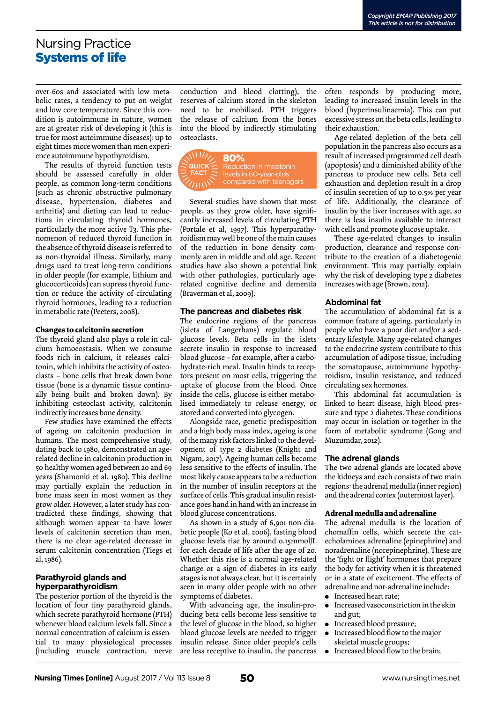## Nursing Practice Systems of life

over-60s and associated with low metabolic rates, a tendency to put on weight and low core temperature. Since this condition is autoimmune in nature, women are at greater risk of developing it (this is true for most autoimmune diseases): up to eight times more women than men experience autoimmune hypothyroidism.

The results of thyroid function tests should be assessed carefully in older people, as common long-term conditions (such as chronic obstructive pulmonary disease, hypertension, diabetes and arthritis) and dieting can lead to reductions in circulating thyroid hormones, particularly the more active T3. This phenomenon of reduced thyroid function in the absence of thyroid disease is referred to as non-thyroidal illness. Similarly, many drugs used to treat long-term conditions in older people (for example, lithium and glucocorticoids) can supress thyroid function or reduce the activity of circulating thyroid hormones, leading to a reduction in metabolic rate (Peeters, 2008).

#### **Changes to calcitonin secretion**

The thyroid gland also plays a role in calcium homoeostasis. When we consume foods rich in calcium, it releases calcitonin, which inhibits the activity of osteoclasts – bone cells that break down bone tissue (bone is a dynamic tissue continually being built and broken down). By inhibiting osteoclast activity, calcitonin indirectly increases bone density.

Few studies have examined the effects of ageing on calcitonin production in humans. The most comprehensive study, dating back to 1980, demonstrated an agerelated decline in calcitonin production in 50 healthy women aged between 20 and 69 years (Shamonki et al, 1980). This decline may partially explain the reduction in bone mass seen in most women as they grow older. However, a later study has contradicted these findings, showing that although women appear to have lower levels of calcitonin secretion than men, there is no clear age-related decrease in serum calcitonin concentration (Tiegs et al, 1986).

### **Parathyroid glands and hyperparathyroidism**

The posterior portion of the thyroid is the location of four tiny parathyroid glands, which secrete parathyroid hormone (PTH) whenever blood calcium levels fall. Since a normal concentration of calcium is essential to many physiological processes (including muscle contraction, nerve

conduction and blood clotting), the reserves of calcium stored in the skeleton need to be mobilised. PTH triggers the release of calcium from the bones into the blood by indirectly stimulating osteoclasts.



Several studies have shown that most people, as they grow older, have significantly increased levels of circulating PTH (Portale et al, 1997). This hyperparathyroidism may well be one of the main causes of the reduction in bone density commonly seen in middle and old age. Recent studies have also shown a potential link with other pathologies, particularly agerelated cognitive decline and dementia (Braverman et al, 2009).

#### **The pancreas and diabetes risk**

The endocrine regions of the pancreas (islets of Langerhans) regulate blood glucose levels. Beta cells in the islets secrete insulin in response to increased blood glucose – for example, after a carbohydrate-rich meal. Insulin binds to receptors present on most cells, triggering the uptake of glucose from the blood. Once inside the cells, glucose is either metabolised immediately to release energy, or stored and converted into glycogen.

Alongside race, genetic predisposition and a high body mass index, ageing is one of the many risk factors linked to the development of type 2 diabetes (Knight and Nigam, 2017). Ageing human cells become less sensitive to the effects of insulin. The most likely cause appears to be a reduction in the number of insulin receptors at the surface of cells. This gradual insulin resistance goes hand in hand with an increase in blood glucose concentrations.

As shown in a study of 6,901 non-diabetic people (Ko et al, 2006), fasting blood glucose levels rise by around 0.15mmol/L for each decade of life after the age of 20. Whether this rise is a normal age-related change or a sign of diabetes in its early stages is not always clear, but it is certainly seen in many older people with no other symptoms of diabetes.

With advancing age, the insulin-producing beta cells become less sensitive to the level of glucose in the blood, so higher blood glucose levels are needed to trigger insulin release. Since older people's cells are less receptive to insulin, the pancreas

often responds by producing more, leading to increased insulin levels in the blood (hyperinsulinaemia). This can put excessive stress on the beta cells, leading to their exhaustion.

Age-related depletion of the beta cell population in the pancreas also occurs as a result of increased programmed cell death (apoptosis) and a diminished ability of the pancreas to produce new cells. Beta cell exhaustion and depletion result in a drop of insulin secretion of up to 0.5% per year of life. Additionally, the clearance of insulin by the liver increases with age, so there is less insulin available to interact with cells and promote glucose uptake.

These age-related changes to insulin production, clearance and response contribute to the creation of a diabetogenic environment. This may partially explain why the risk of developing type 2 diabetes increases with age (Brown, 2012).

#### **Abdominal fat**

The accumulation of abdominal fat is a common feature of ageing, particularly in people who have a poor diet and/or a sedentary lifestyle. Many age-related changes to the endocrine system contribute to this accumulation of adipose tissue, including the somatopause, autoimmune hypothyroidism, insulin resistance, and reduced circulating sex hormones.

This abdominal fat accumulation is linked to heart disease, high blood pressure and type 2 diabetes. These conditions may occur in isolation or together in the form of metabolic syndrome (Gong and Muzumdar, 2012).

#### **The adrenal glands**

The two adrenal glands are located above the kidneys and each consists of two main regions: the adrenal medulla (inner region) and the adrenal cortex (outermost layer).

#### **Adrenal medulla and adrenaline**

The adrenal medulla is the location of chomaffin cells, which secrete the catecholamines adrenaline (epinephrine) and noradrenaline (norepinephrine). These are the 'fight or flight' hormones that prepare the body for activity when it is threatened or in a state of excitement. The effects of adrenaline and nor-adrenaline include:

- **·** Increased heart rate;
- $\bullet$  Increased vasoconstriction in the skin and gut;
- $\bullet$  Increased blood pressure;
- $\bullet$  Increased blood flow to the major skeletal muscle groups;
- $\bullet$  Increased blood flow to the brain;